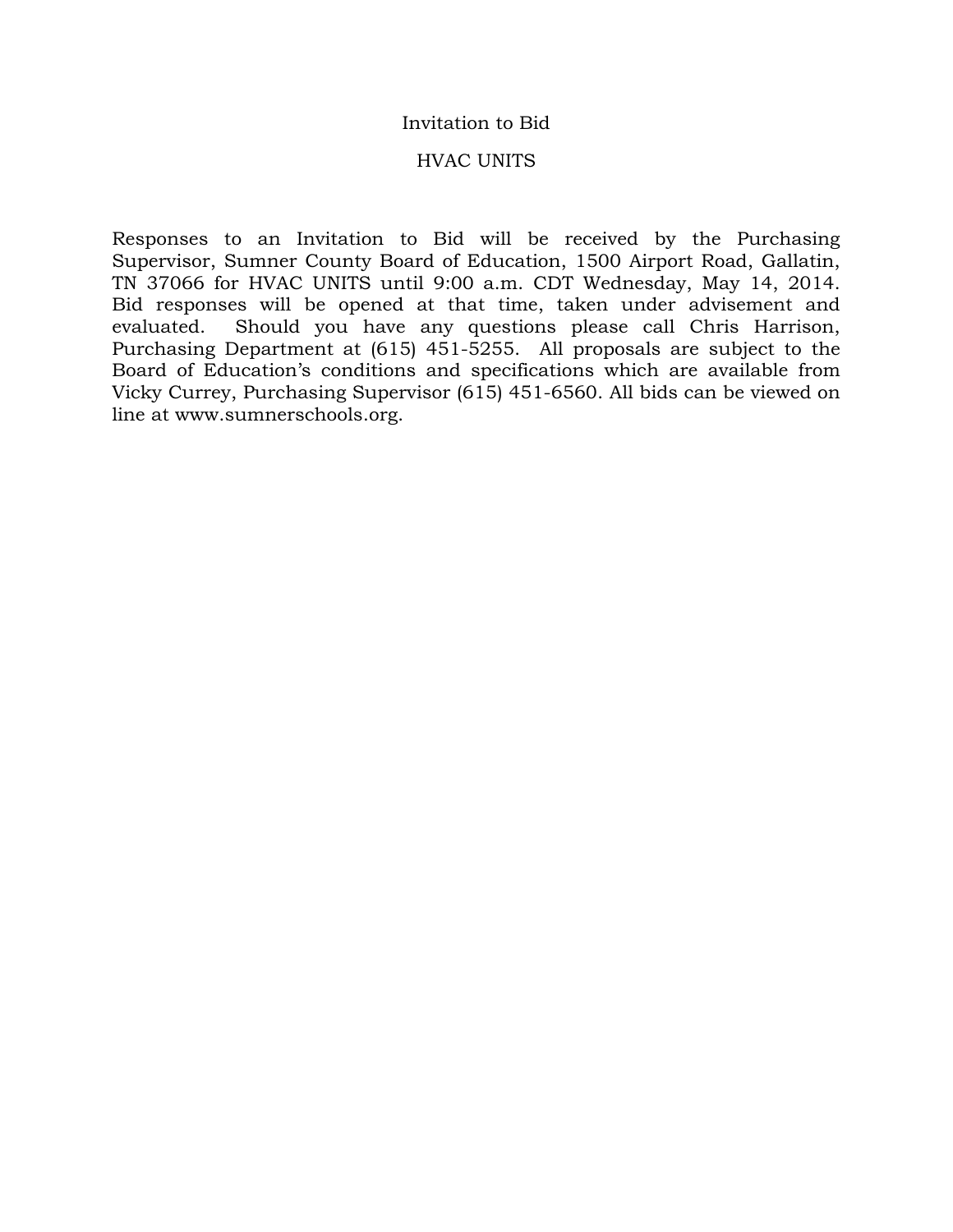### Invitation to Bid

#### HVAC UNITS

Responses to an Invitation to Bid will be received by the Purchasing Supervisor, Sumner County Board of Education, 1500 Airport Road, Gallatin, TN 37066 for HVAC UNITS until 9:00 a.m. CDT Wednesday, May 14, 2014. Bid responses will be opened at that time, taken under advisement and evaluated. Should you have any questions please call Chris Harrison, Purchasing Department at (615) 451-5255. All proposals are subject to the Board of Education's conditions and specifications which are available from Vicky Currey, Purchasing Supervisor (615) 451-6560. All bids can be viewed on line at www.sumnerschools.org.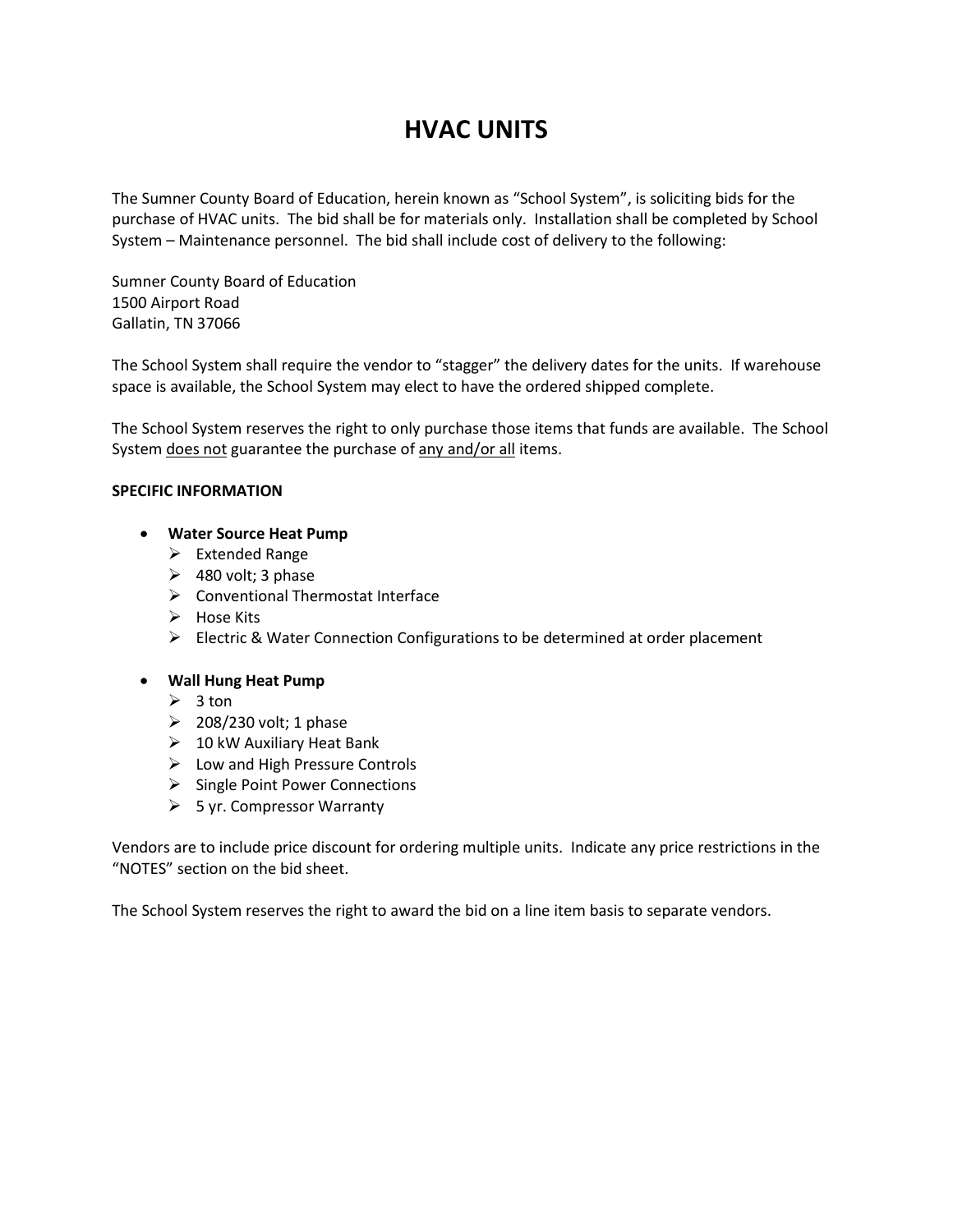# **HVAC UNITS**

The Sumner County Board of Education, herein known as "School System", is soliciting bids for the purchase of HVAC units. The bid shall be for materials only. Installation shall be completed by School System – Maintenance personnel. The bid shall include cost of delivery to the following:

Sumner County Board of Education 1500 Airport Road Gallatin, TN 37066

The School System shall require the vendor to "stagger" the delivery dates for the units. If warehouse space is available, the School System may elect to have the ordered shipped complete.

The School System reserves the right to only purchase those items that funds are available. The School System does not guarantee the purchase of any and/or all items.

#### **SPECIFIC INFORMATION**

#### • **Water Source Heat Pump**

- $\triangleright$  Extended Range
- $\geq$  480 volt; 3 phase
- $\triangleright$  Conventional Thermostat Interface
- $\triangleright$  Hose Kits
- Electric & Water Connection Configurations to be determined at order placement

#### • **Wall Hung Heat Pump**

- $\geqslant$  3 ton
- $\geq$  208/230 volt; 1 phase
- $\geqslant$  10 kW Auxiliary Heat Bank
- $\triangleright$  Low and High Pressure Controls
- $\triangleright$  Single Point Power Connections
- $\triangleright$  5 yr. Compressor Warranty

Vendors are to include price discount for ordering multiple units. Indicate any price restrictions in the "NOTES" section on the bid sheet.

The School System reserves the right to award the bid on a line item basis to separate vendors.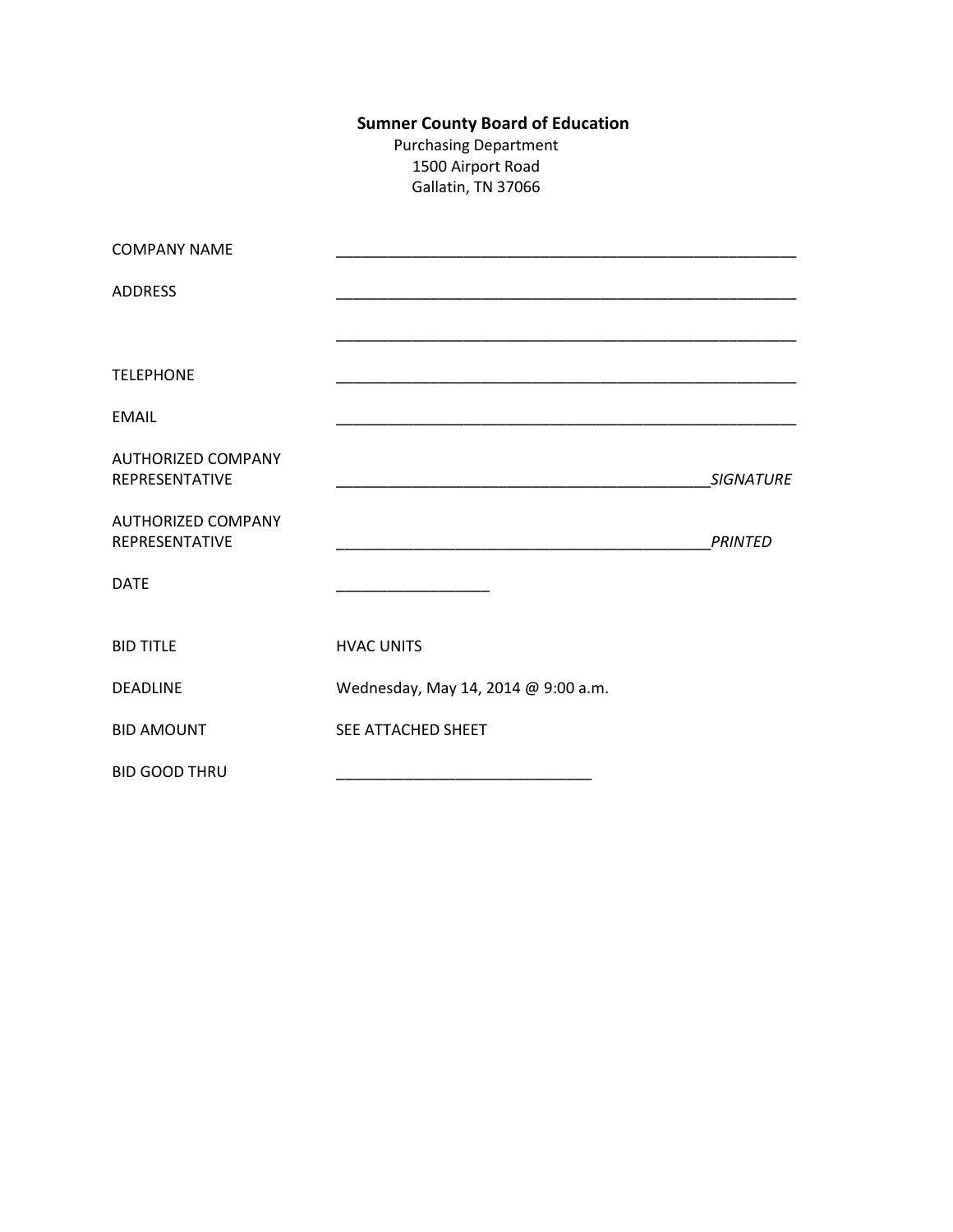## **Sumner County Board of Education**

Purchasing Department 1500 Airport Road Gallatin, TN 37066

| <b>COMPANY NAME</b>                         |                                     |                  |
|---------------------------------------------|-------------------------------------|------------------|
| <b>ADDRESS</b>                              |                                     |                  |
|                                             |                                     |                  |
| <b>TELEPHONE</b>                            |                                     |                  |
| <b>EMAIL</b>                                |                                     |                  |
| <b>AUTHORIZED COMPANY</b><br>REPRESENTATIVE |                                     | <b>SIGNATURE</b> |
| <b>AUTHORIZED COMPANY</b><br>REPRESENTATIVE |                                     | <b>PRINTED</b>   |
| <b>DATE</b>                                 |                                     |                  |
| <b>BID TITLE</b>                            | <b>HVAC UNITS</b>                   |                  |
| <b>DEADLINE</b>                             | Wednesday, May 14, 2014 @ 9:00 a.m. |                  |
| <b>BID AMOUNT</b>                           | SEE ATTACHED SHEET                  |                  |
| <b>BID GOOD THRU</b>                        |                                     |                  |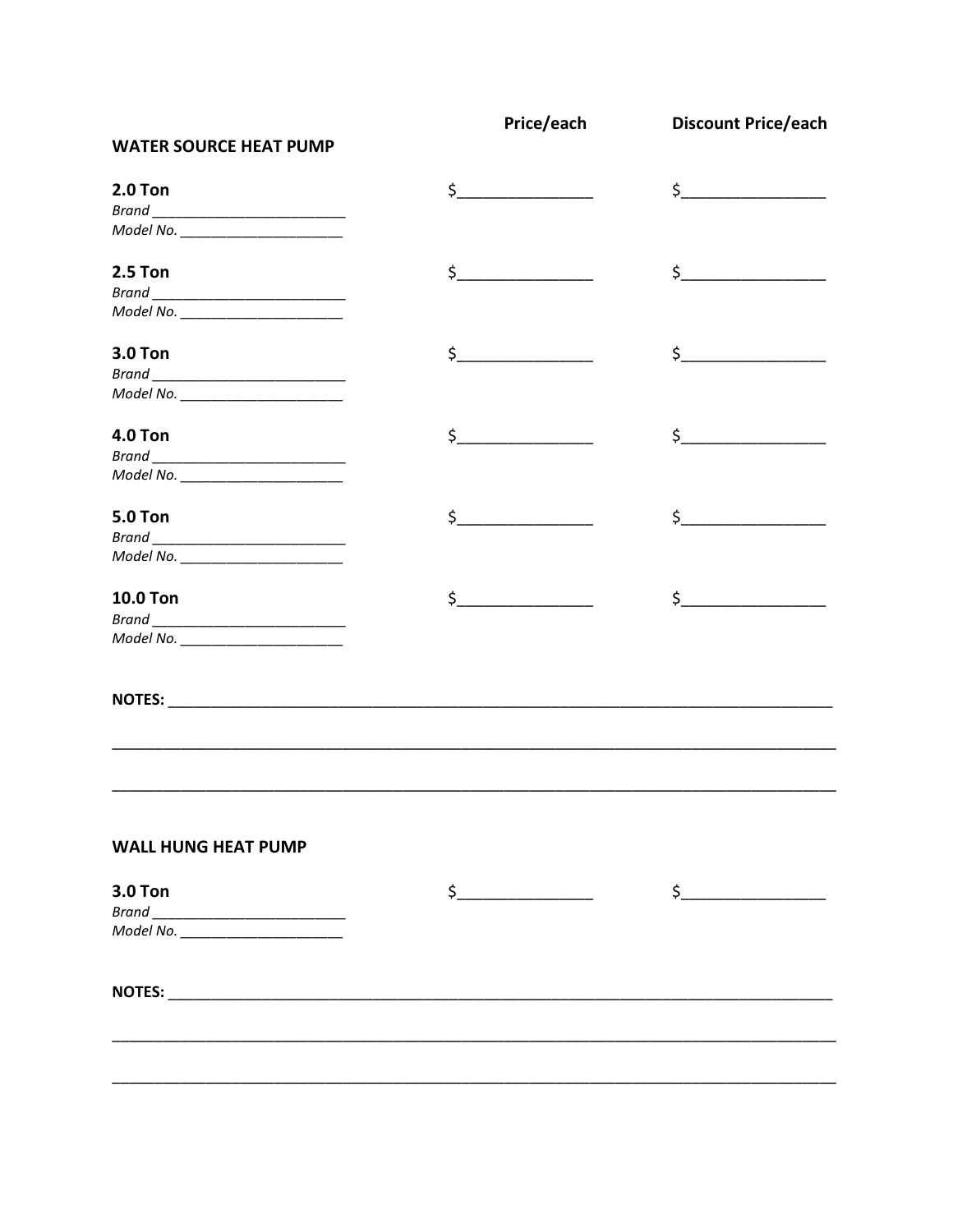|                                                                                                                                                                                                                                | Price/each    | <b>Discount Price/each</b>                                                                                                                                                                                                                                                                                                                                                                                                                                                                                                                             |
|--------------------------------------------------------------------------------------------------------------------------------------------------------------------------------------------------------------------------------|---------------|--------------------------------------------------------------------------------------------------------------------------------------------------------------------------------------------------------------------------------------------------------------------------------------------------------------------------------------------------------------------------------------------------------------------------------------------------------------------------------------------------------------------------------------------------------|
| <b>WATER SOURCE HEAT PUMP</b>                                                                                                                                                                                                  |               |                                                                                                                                                                                                                                                                                                                                                                                                                                                                                                                                                        |
| <b>2.0 Ton</b>                                                                                                                                                                                                                 | $\sharp$      | $\begin{array}{c} \n \uparrow \text{---} \quad \text{---} \quad \text{---} \quad \text{---} \quad \text{---} \quad \text{---} \quad \text{---} \quad \text{---} \quad \text{---} \quad \text{---} \quad \text{---} \quad \text{---} \quad \text{---} \quad \text{---} \quad \text{---} \quad \text{---} \quad \text{---} \quad \text{---} \quad \text{---} \quad \text{---} \quad \text{---} \quad \text{---} \quad \text{---} \quad \text{---} \quad \text{---} \quad \text{---} \quad \text{---} \quad \text{---} \quad \text{---} \quad \text{---}$ |
|                                                                                                                                                                                                                                |               |                                                                                                                                                                                                                                                                                                                                                                                                                                                                                                                                                        |
| Model No. ______________________                                                                                                                                                                                               |               |                                                                                                                                                                                                                                                                                                                                                                                                                                                                                                                                                        |
| <b>2.5 Ton</b>                                                                                                                                                                                                                 | $\frac{1}{2}$ | $\frac{1}{2}$                                                                                                                                                                                                                                                                                                                                                                                                                                                                                                                                          |
|                                                                                                                                                                                                                                |               |                                                                                                                                                                                                                                                                                                                                                                                                                                                                                                                                                        |
| Model No. _______________________                                                                                                                                                                                              |               |                                                                                                                                                                                                                                                                                                                                                                                                                                                                                                                                                        |
| <b>3.0 Ton</b>                                                                                                                                                                                                                 | $\frac{1}{2}$ | $\begin{picture}(20,10) \put(0,0){\line(1,0){10}} \put(15,0){\line(1,0){10}} \put(15,0){\line(1,0){10}} \put(15,0){\line(1,0){10}} \put(15,0){\line(1,0){10}} \put(15,0){\line(1,0){10}} \put(15,0){\line(1,0){10}} \put(15,0){\line(1,0){10}} \put(15,0){\line(1,0){10}} \put(15,0){\line(1,0){10}} \put(15,0){\line(1,0){10}} \put(15,0){\line(1$                                                                                                                                                                                                    |
|                                                                                                                                                                                                                                |               |                                                                                                                                                                                                                                                                                                                                                                                                                                                                                                                                                        |
| Model No. ________________________                                                                                                                                                                                             |               |                                                                                                                                                                                                                                                                                                                                                                                                                                                                                                                                                        |
| <b>4.0 Ton</b>                                                                                                                                                                                                                 | $\zeta$       | $\zeta$                                                                                                                                                                                                                                                                                                                                                                                                                                                                                                                                                |
|                                                                                                                                                                                                                                |               |                                                                                                                                                                                                                                                                                                                                                                                                                                                                                                                                                        |
| Model No. _____________________                                                                                                                                                                                                |               |                                                                                                                                                                                                                                                                                                                                                                                                                                                                                                                                                        |
| <b>5.0 Ton</b>                                                                                                                                                                                                                 | $\sharp$      | $\sharp$                                                                                                                                                                                                                                                                                                                                                                                                                                                                                                                                               |
|                                                                                                                                                                                                                                |               |                                                                                                                                                                                                                                                                                                                                                                                                                                                                                                                                                        |
| Model No. _____________________                                                                                                                                                                                                |               |                                                                                                                                                                                                                                                                                                                                                                                                                                                                                                                                                        |
| <b>10.0 Ton</b>                                                                                                                                                                                                                | $\mathsf{S}$  | $\sharp$                                                                                                                                                                                                                                                                                                                                                                                                                                                                                                                                               |
|                                                                                                                                                                                                                                |               |                                                                                                                                                                                                                                                                                                                                                                                                                                                                                                                                                        |
| Model No. ______________________                                                                                                                                                                                               |               |                                                                                                                                                                                                                                                                                                                                                                                                                                                                                                                                                        |
|                                                                                                                                                                                                                                |               |                                                                                                                                                                                                                                                                                                                                                                                                                                                                                                                                                        |
|                                                                                                                                                                                                                                |               |                                                                                                                                                                                                                                                                                                                                                                                                                                                                                                                                                        |
|                                                                                                                                                                                                                                |               |                                                                                                                                                                                                                                                                                                                                                                                                                                                                                                                                                        |
| <b>WALL HUNG HEAT PUMP</b>                                                                                                                                                                                                     |               |                                                                                                                                                                                                                                                                                                                                                                                                                                                                                                                                                        |
| <b>3.0 Ton</b>                                                                                                                                                                                                                 | $\mathsf{S}$  | $\mathsf{S}$                                                                                                                                                                                                                                                                                                                                                                                                                                                                                                                                           |
|                                                                                                                                                                                                                                |               |                                                                                                                                                                                                                                                                                                                                                                                                                                                                                                                                                        |
| Model No. _____________________                                                                                                                                                                                                |               |                                                                                                                                                                                                                                                                                                                                                                                                                                                                                                                                                        |
| NOTES: We are all the contract of the contract of the contract of the contract of the contract of the contract of the contract of the contract of the contract of the contract of the contract of the contract of the contract |               |                                                                                                                                                                                                                                                                                                                                                                                                                                                                                                                                                        |
|                                                                                                                                                                                                                                |               |                                                                                                                                                                                                                                                                                                                                                                                                                                                                                                                                                        |
|                                                                                                                                                                                                                                |               |                                                                                                                                                                                                                                                                                                                                                                                                                                                                                                                                                        |
|                                                                                                                                                                                                                                |               |                                                                                                                                                                                                                                                                                                                                                                                                                                                                                                                                                        |